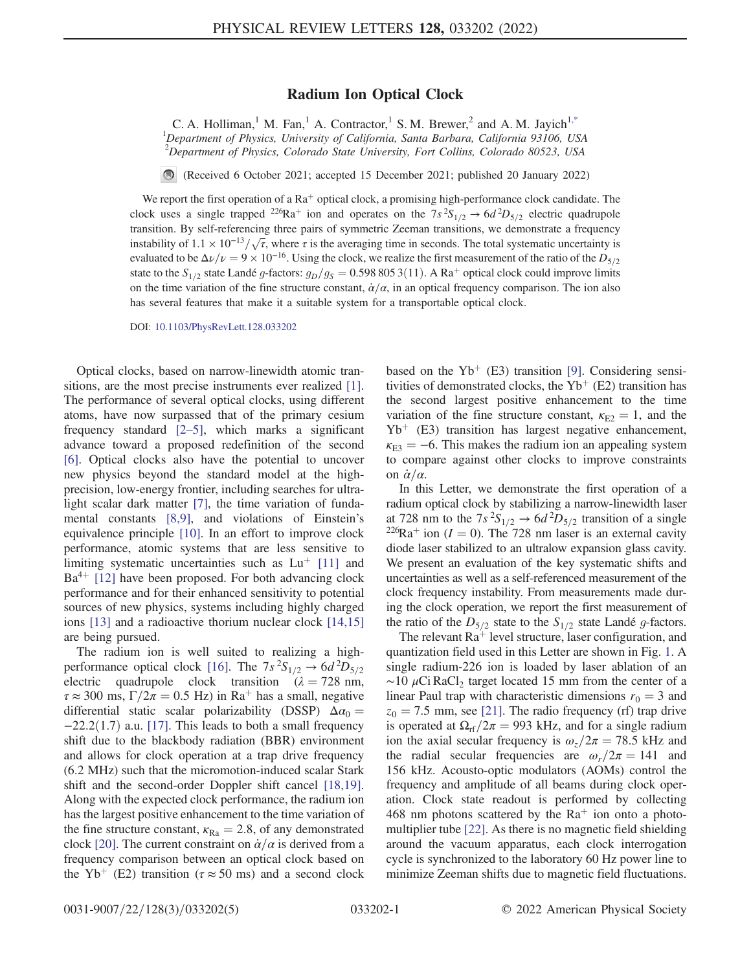## Radium Ion Optical Clock

<span id="page-0-0"></span>C. A. Holliman,<sup>1</sup> M. Fan,<sup>1</sup> A. Contractor,<sup>1</sup> S. M. Brewer,<sup>2</sup> and A. M. Jayich<sup>[1,\\*](#page-3-0)</sup> <sup>1</sup>Department of Physics, University of California, Santa Barbara, California 93106, USA <sup>2</sup>Department of Physics, Colorado State University, Fort Collins, Colorado 80523, USA

(Received 6 October 2021; accepted 15 December 2021; published 20 January 2022)

We report the first operation of a  $Ra^+$  optical clock, a promising high-performance clock candidate. The clock uses a single trapped <sup>226</sup>Ra<sup>+</sup> ion and operates on the  $7s^2S_{1/2} \rightarrow 6d^2D_{5/2}$  electric quadrupole transition. By self-referencing three pairs of symmetric Zeeman transitions, we demonstrate a frequency transition. By self-referencing three pairs of symmetric Zeeman transitions, we demonstrate a frequency instability of  $1.1 \times 10^{-13}/\sqrt{\tau}$ , where  $\tau$  is the averaging time in seconds. The total systematic uncertainty is evaluated to be  $\Delta \nu/\nu = 9 \times 10^{-16}$ . Using the clock, we realize the first measurement of the ratio of the  $D_{5/2}$ state to the  $S_{1/2}$  state Landé g-factors:  $g_D/g_S = 0.598\,805\,3(11)$ . A Ra<sup>+</sup> optical clock could improve limits on the time variation of the fine structure constant,  $\dot{\alpha}/\alpha$ , in an optical frequency comparison. The ion also has several features that make it a suitable system for a transportable optical clock.

DOI: [10.1103/PhysRevLett.128.033202](https://doi.org/10.1103/PhysRevLett.128.033202)

Optical clocks, based on narrow-linewidth atomic transitions, are the most precise instruments ever realized [[1](#page-3-1)]. The performance of several optical clocks, using different atoms, have now surpassed that of the primary cesium frequency standard [[2](#page-3-2)–[5](#page-3-3)], which marks a significant advance toward a proposed redefinition of the second [\[6\]](#page-3-4). Optical clocks also have the potential to uncover new physics beyond the standard model at the highprecision, low-energy frontier, including searches for ultralight scalar dark matter [[7](#page-3-5)], the time variation of fundamental constants [[8](#page-3-6),[9](#page-3-7)], and violations of Einstein's equivalence principle [[10](#page-4-0)]. In an effort to improve clock performance, atomic systems that are less sensitive to limiting systematic uncertainties such as  $Lu^+$  [[11](#page-4-1)] and  $Ba^{4+}$  [\[12\]](#page-4-2) have been proposed. For both advancing clock performance and for their enhanced sensitivity to potential sources of new physics, systems including highly charged ions [\[13\]](#page-4-3) and a radioactive thorium nuclear clock [\[14,](#page-4-4)[15\]](#page-4-5) are being pursued.

The radium ion is well suited to realizing a high-performance optical clock [\[16\]](#page-4-6). The  $7s^2S_{1/2} \rightarrow 6d^2D_{5/2}$ electric quadrupole clock transition ( $\lambda = 728$  nm,  $\tau \approx 300$  ms,  $\Gamma/2\pi = 0.5$  Hz) in Ra<sup>+</sup> has a small, negative differential static scalar polarizability (DSSP)  $\Delta \alpha_0 =$  $-22.2(1.7)$  a.u. [\[17\]](#page-4-7). This leads to both a small frequency shift due to the blackbody radiation (BBR) environment and allows for clock operation at a trap drive frequency (6.2 MHz) such that the micromotion-induced scalar Stark shift and the second-order Doppler shift cancel [\[18,](#page-4-8)[19](#page-4-9)]. Along with the expected clock performance, the radium ion has the largest positive enhancement to the time variation of the fine structure constant,  $\kappa_{\text{Ra}} = 2.8$ , of any demonstrated clock [[20](#page-4-10)]. The current constraint on  $\dot{\alpha}/\alpha$  is derived from a frequency comparison between an optical clock based on the Yb<sup>+</sup> (E2) transition ( $\tau \approx 50$  ms) and a second clock based on the Yb<sup>+</sup> (E3) transition [[9\]](#page-3-7). Considering sensitivities of demonstrated clocks, the  $Yb^+$  (E2) transition has the second largest positive enhancement to the time variation of the fine structure constant,  $\kappa_{E2} = 1$ , and the  $Yb<sup>+</sup>$  (E3) transition has largest negative enhancement,  $\kappa_{E3} = -6$ . This makes the radium ion an appealing system to compare against other clocks to improve constraints on  $\dot{\alpha}/\alpha$ .

In this Letter, we demonstrate the first operation of a radium optical clock by stabilizing a narrow-linewidth laser at 728 nm to the  $7s^2S_{1/2} \rightarrow 6d^2D_{5/2}$  transition of a single <sup>226</sup>Ra<sup>+</sup> ion (I = 0). The 728 nm laser is an external cavity diode laser stabilized to an ultralow expansion glass cavity. We present an evaluation of the key systematic shifts and uncertainties as well as a self-referenced measurement of the clock frequency instability. From measurements made during the clock operation, we report the first measurement of the ratio of the  $D_{5/2}$  state to the  $S_{1/2}$  state Landé g-factors.

The relevant  $Ra^+$  level structure, laser configuration, and quantization field used in this Letter are shown in Fig. [1](#page-1-0). A single radium-226 ion is loaded by laser ablation of an  $\sim$ 10 µCi RaCl<sub>2</sub> target located 15 mm from the center of a linear Paul trap with characteristic dimensions  $r_0 = 3$  and  $z_0$  = 7.5 mm, see [[21](#page-4-11)]. The radio frequency (rf) trap drive is operated at  $\Omega_{\text{rf}}/2\pi = 993$  kHz, and for a single radium ion the axial secular frequency is  $\omega_z/2\pi = 78.5$  kHz and the radial secular frequencies are  $\omega_r/2\pi = 141$  and 156 kHz. Acousto-optic modulators (AOMs) control the frequency and amplitude of all beams during clock operation. Clock state readout is performed by collecting 468 nm photons scattered by the  $Ra^+$  ion onto a photomultiplier tube [[22](#page-4-12)]. As there is no magnetic field shielding around the vacuum apparatus, each clock interrogation cycle is synchronized to the laboratory 60 Hz power line to minimize Zeeman shifts due to magnetic field fluctuations.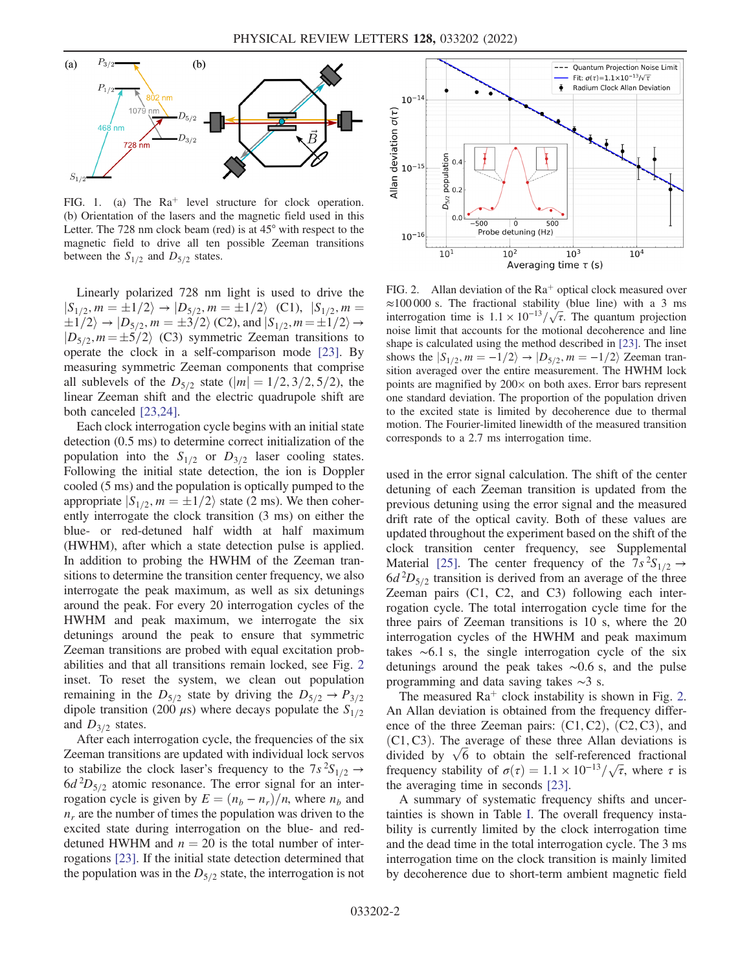<span id="page-1-0"></span>

FIG. 1. (a) The  $Ra^+$  level structure for clock operation. (b) Orientation of the lasers and the magnetic field used in this Letter. The 728 nm clock beam (red) is at 45° with respect to the magnetic field to drive all ten possible Zeeman transitions between the  $S_{1/2}$  and  $D_{5/2}$  states.

Linearly polarized 728 nm light is used to drive the  $|S_{1/2}, m = \pm 1/2\rangle \rightarrow |D_{5/2}, m = \pm 1/2\rangle$  (C1),  $|S_{1/2}, m =$  $\pm 1/2$   $\rightarrow$   $|D_{5/2}, m = \pm 3/2 \rangle$  (C2), and  $|S_{1/2}, m = \pm 1/2 \rangle$   $\rightarrow$  $|D_{5/2}, m = \pm 5/2\rangle$  (C3) symmetric Zeeman transitions to operate the clock in a self-comparison mode [[23](#page-4-13)]. By measuring symmetric Zeeman components that comprise all sublevels of the  $D_{5/2}$  state (|m| = 1/2, 3/2, 5/2), the linear Zeeman shift and the electric quadrupole shift are both canceled [[23](#page-4-13),[24](#page-4-14)].

Each clock interrogation cycle begins with an initial state detection (0.5 ms) to determine correct initialization of the population into the  $S_{1/2}$  or  $D_{3/2}$  laser cooling states. Following the initial state detection, the ion is Doppler cooled (5 ms) and the population is optically pumped to the appropriate  $|S_{1/2}, m = \pm 1/2\rangle$  state (2 ms). We then coherently interrogate the clock transition (3 ms) on either the blue- or red-detuned half width at half maximum (HWHM), after which a state detection pulse is applied. In addition to probing the HWHM of the Zeeman transitions to determine the transition center frequency, we also interrogate the peak maximum, as well as six detunings around the peak. For every 20 interrogation cycles of the HWHM and peak maximum, we interrogate the six detunings around the peak to ensure that symmetric Zeeman transitions are probed with equal excitation probabilities and that all transitions remain locked, see Fig. [2](#page-1-1) inset. To reset the system, we clean out population remaining in the  $D_{5/2}$  state by driving the  $D_{5/2} \rightarrow P_{3/2}$ dipole transition (200  $\mu$ s) where decays populate the  $S_{1/2}$ and  $D_{3/2}$  states.

After each interrogation cycle, the frequencies of the six Zeeman transitions are updated with individual lock servos to stabilize the clock laser's frequency to the  $7s^2S_{1/2} \rightarrow$  $6d<sup>2</sup>D<sub>5/2</sub>$  atomic resonance. The error signal for an interrogation cycle is given by  $E = (n_b - n_r)/n$ , where  $n_b$  and  $n_r$  are the number of times the population was driven to the excited state during interrogation on the blue- and reddetuned HWHM and  $n = 20$  is the total number of interrogations [\[23\]](#page-4-13). If the initial state detection determined that the population was in the  $D_{5/2}$  state, the interrogation is not

<span id="page-1-1"></span>

FIG. 2. Allan deviation of the  $Ra^+$  optical clock measured over  $\approx$ 100 000 s. The fractional stability (blue line) with a 3 ms  $\approx$ 100 000 s. The fractional stability (blue line) with a 3 ms interrogation time is  $1.1 \times 10^{-13}/\sqrt{\tau}$ . The quantum projection noise limit that accounts for the motional decoherence and line shape is calculated using the method described in [[23](#page-4-13)]. The inset shows the  $|S_{1/2}, m = -1/2\rangle \rightarrow |D_{5/2}, m = -1/2\rangle$  Zeeman transition averaged over the entire measurement. The HWHM lock points are magnified by  $200 \times$  on both axes. Error bars represent one standard deviation. The proportion of the population driven to the excited state is limited by decoherence due to thermal motion. The Fourier-limited linewidth of the measured transition corresponds to a 2.7 ms interrogation time.

used in the error signal calculation. The shift of the center detuning of each Zeeman transition is updated from the previous detuning using the error signal and the measured drift rate of the optical cavity. Both of these values are updated throughout the experiment based on the shift of the clock transition center frequency, see Supplemental Material [\[25\]](#page-4-15). The center frequency of the  $7s^2S_{1/2} \rightarrow$  $6d<sup>2</sup>D<sub>5/2</sub>$  transition is derived from an average of the three Zeeman pairs (C1, C2, and C3) following each interrogation cycle. The total interrogation cycle time for the three pairs of Zeeman transitions is 10 s, where the 20 interrogation cycles of the HWHM and peak maximum takes ∼6.1 s, the single interrogation cycle of the six detunings around the peak takes ∼0.6 s, and the pulse programming and data saving takes ∼3 s.

The measured  $Ra^+$  clock instability is shown in Fig. [2](#page-1-1). An Allan deviation is obtained from the frequency difference of the three Zeeman pairs:  $(C1, C2)$ ,  $(C2, C3)$ , and  $(C1, C3)$ . The average of these three Allan deviations is (C1, C3). The average of these three Allan deviations is divided by  $\sqrt{6}$  to obtain the self-referenced fractional divided by  $\sqrt{6}$  to obtain the self-referenced fractional frequency stability of  $\sigma(\tau) = 1.1 \times 10^{-13}/\sqrt{\tau}$ , where  $\tau$  is the averaging time in seconds [[23](#page-4-13)].

A summary of systematic frequency shifts and uncertainties is shown in Table [I.](#page-2-0) The overall frequency instability is currently limited by the clock interrogation time and the dead time in the total interrogation cycle. The 3 ms interrogation time on the clock transition is mainly limited by decoherence due to short-term ambient magnetic field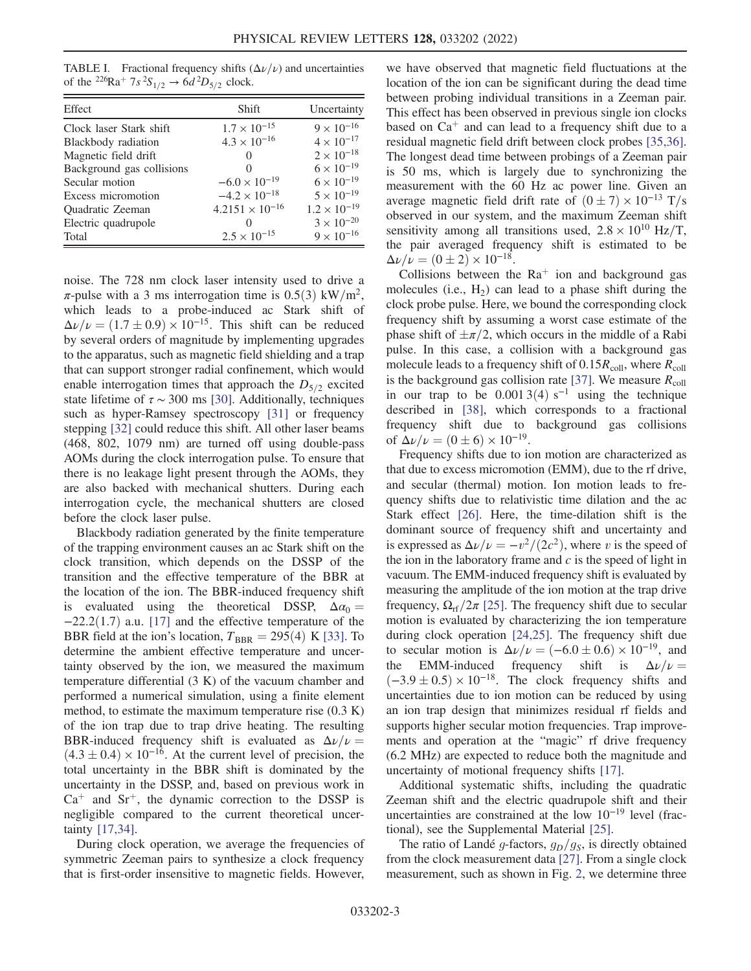<span id="page-2-0"></span>TABLE I. Fractional frequency shifts  $(\Delta \nu/\nu)$  and uncertainties of the <sup>226</sup>Ra<sup>+</sup>  $7s^{2}S_{1/2} \rightarrow 6d^{2}D_{5/2}$  clock.

| Effect                    | Shift                    | Uncertainty           |
|---------------------------|--------------------------|-----------------------|
| Clock laser Stark shift   | $1.7 \times 10^{-15}$    | $9 \times 10^{-16}$   |
| Blackbody radiation       | $4.3 \times 10^{-16}$    | $4 \times 10^{-17}$   |
| Magnetic field drift      | $\mathbf{\Omega}$        | $2\times10^{-18}$     |
| Background gas collisions | $\mathcal{L}$            | $6\times10^{-19}$     |
| Secular motion            | $-6.0 \times 10^{-19}$   | $6 \times 10^{-19}$   |
| Excess micromotion        | $-4.2 \times 10^{-18}$   | $5 \times 10^{-19}$   |
| <b>Ouadratic Zeeman</b>   | $4.2151 \times 10^{-16}$ | $1.2 \times 10^{-19}$ |
| Electric quadrupole       |                          | $3 \times 10^{-20}$   |
| Total                     | $2.5 \times 10^{-15}$    | $9 \times 10^{-16}$   |

noise. The 728 nm clock laser intensity used to drive a  $\pi$ -pulse with a 3 ms interrogation time is 0.5(3) kW/m<sup>2</sup>, which leads to a probe-induced ac Stark shift of  $\Delta\nu/\nu = (1.7 \pm 0.9) \times 10^{-15}$ . This shift can be reduced by several orders of magnitude by implementing upgrades to the apparatus, such as magnetic field shielding and a trap that can support stronger radial confinement, which would enable interrogation times that approach the  $D_{5/2}$  excited state lifetime of  $\tau \sim 300$  ms [\[30\]](#page-4-16). Additionally, techniques such as hyper-Ramsey spectroscopy [\[31\]](#page-4-17) or frequency stepping [\[32\]](#page-4-18) could reduce this shift. All other laser beams (468, 802, 1079 nm) are turned off using double-pass AOMs during the clock interrogation pulse. To ensure that there is no leakage light present through the AOMs, they are also backed with mechanical shutters. During each interrogation cycle, the mechanical shutters are closed before the clock laser pulse.

Blackbody radiation generated by the finite temperature of the trapping environment causes an ac Stark shift on the clock transition, which depends on the DSSP of the transition and the effective temperature of the BBR at the location of the ion. The BBR-induced frequency shift is evaluated using the theoretical DSSP,  $\Delta \alpha_0 =$  $-22.2(1.7)$  a.u. [\[17\]](#page-4-7) and the effective temperature of the BBR field at the ion's location,  $T_{BBR} = 295(4)$  K [[33](#page-4-19)]. To determine the ambient effective temperature and uncertainty observed by the ion, we measured the maximum temperature differential (3 K) of the vacuum chamber and performed a numerical simulation, using a finite element method, to estimate the maximum temperature rise (0.3 K) of the ion trap due to trap drive heating. The resulting BBR-induced frequency shift is evaluated as  $\Delta \nu / \nu =$  $(4.3 \pm 0.4) \times 10^{-16}$ . At the current level of precision, the total uncertainty in the BBR shift is dominated by the uncertainty in the DSSP, and, based on previous work in  $Ca<sup>+</sup>$  and  $Sr<sup>+</sup>$ , the dynamic correction to the DSSP is negligible compared to the current theoretical uncertainty [[17](#page-4-7),[34](#page-4-20)].

During clock operation, we average the frequencies of symmetric Zeeman pairs to synthesize a clock frequency that is first-order insensitive to magnetic fields. However,

we have observed that magnetic field fluctuations at the location of the ion can be significant during the dead time between probing individual transitions in a Zeeman pair. This effect has been observed in previous single ion clocks based on  $Ca<sup>+</sup>$  and can lead to a frequency shift due to a residual magnetic field drift between clock probes [\[35,](#page-4-21)[36](#page-4-22)]. The longest dead time between probings of a Zeeman pair is 50 ms, which is largely due to synchronizing the measurement with the 60 Hz ac power line. Given an average magnetic field drift rate of  $(0 \pm 7) \times 10^{-13}$  T/s observed in our system, and the maximum Zeeman shift sensitivity among all transitions used,  $2.8 \times 10^{10}$  Hz/T, the pair averaged frequency shift is estimated to be  $\Delta \nu / \nu = (0 \pm 2) \times 10^{-18}.$ 

Collisions between the  $Ra^+$  ion and background gas molecules (i.e.,  $H_2$ ) can lead to a phase shift during the clock probe pulse. Here, we bound the corresponding clock frequency shift by assuming a worst case estimate of the phase shift of  $\pm \pi/2$ , which occurs in the middle of a Rabi pulse. In this case, a collision with a background gas molecule leads to a frequency shift of  $0.15R_{\text{coll}}$ , where  $R_{\text{coll}}$ is the background gas collision rate [[37](#page-4-23)]. We measure  $R_{\text{coll}}$ in our trap to be  $0.0013(4) s^{-1}$  using the technique described in [\[38\]](#page-4-24), which corresponds to a fractional frequency shift due to background gas collisions of  $\Delta \nu / \nu = (0 \pm 6) \times 10^{-19}$ .

Frequency shifts due to ion motion are characterized as that due to excess micromotion (EMM), due to the rf drive, and secular (thermal) motion. Ion motion leads to frequency shifts due to relativistic time dilation and the ac Stark effect [[26](#page-4-25)]. Here, the time-dilation shift is the dominant source of frequency shift and uncertainty and is expressed as  $\Delta \nu/\nu = -v^2/(2c^2)$ , where v is the speed of the ion in the laboratory frame and  $c$  is the speed of light in vacuum. The EMM-induced frequency shift is evaluated by measuring the amplitude of the ion motion at the trap drive frequency,  $\Omega_{\text{rf}}/2\pi$  [\[25\]](#page-4-15). The frequency shift due to secular motion is evaluated by characterizing the ion temperature during clock operation [\[24,](#page-4-14)[25\]](#page-4-15). The frequency shift due to secular motion is  $\Delta \nu / \nu = (-6.0 \pm 0.6) \times 10^{-19}$ , and the EMM-induced frequency shift is  $\Delta \nu / \nu =$  $(-3.9 \pm 0.5) \times 10^{-18}$ . The clock frequency shifts and uncertainties due to ion motion can be reduced by using an ion trap design that minimizes residual rf fields and supports higher secular motion frequencies. Trap improvements and operation at the "magic" rf drive frequency (6.2 MHz) are expected to reduce both the magnitude and uncertainty of motional frequency shifts [[17](#page-4-7)].

Additional systematic shifts, including the quadratic Zeeman shift and the electric quadrupole shift and their uncertainties are constrained at the low 10<sup>−</sup><sup>19</sup> level (fractional), see the Supplemental Material [\[25\]](#page-4-15).

The ratio of Landé g-factors,  $g_D/g_S$ , is directly obtained from the clock measurement data [[27](#page-4-26)]. From a single clock measurement, such as shown in Fig. [2,](#page-1-1) we determine three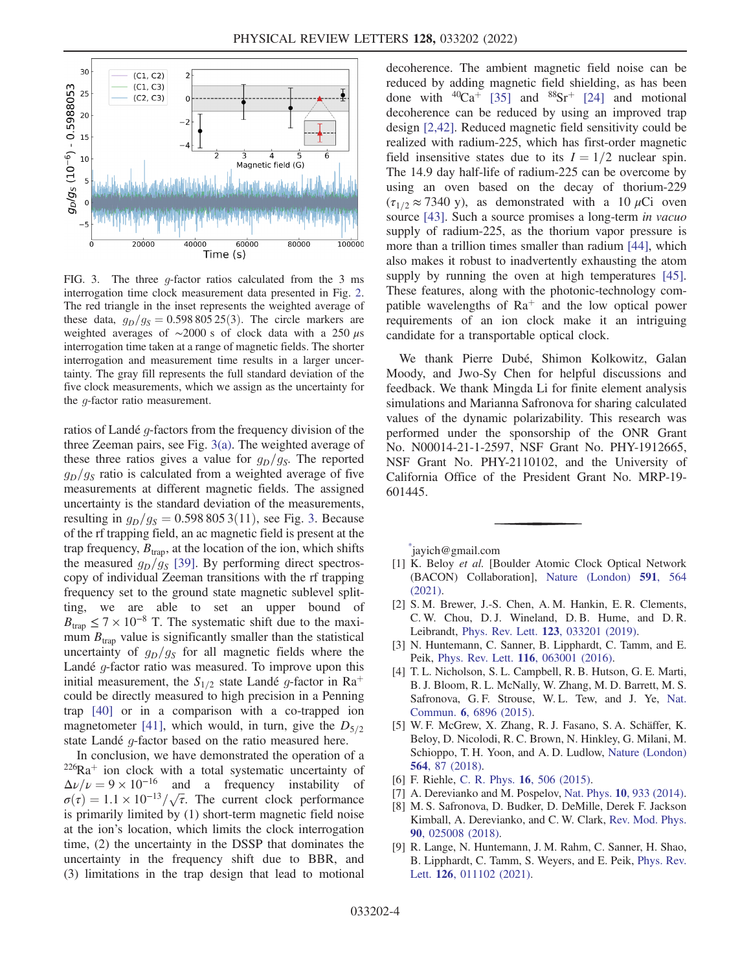<span id="page-3-8"></span>

FIG. 3. The three g-factor ratios calculated from the 3 ms interrogation time clock measurement data presented in Fig. [2.](#page-1-1) The red triangle in the inset represents the weighted average of these data,  $q_D/q_S = 0.598 805 25(3)$ . The circle markers are weighted averages of  $\sim$ 2000 s of clock data with a 250  $\mu$ s interrogation time taken at a range of magnetic fields. The shorter interrogation and measurement time results in a larger uncertainty. The gray fill represents the full standard deviation of the five clock measurements, which we assign as the uncertainty for the g-factor ratio measurement.

ratios of Landé  $q$ -factors from the frequency division of the three Zeeman pairs, see Fig. [3\(a\).](#page-3-8) The weighted average of these three ratios gives a value for  $g_D/g_S$ . The reported  $g_D/g_S$  ratio is calculated from a weighted average of five measurements at different magnetic fields. The assigned uncertainty is the standard deviation of the measurements, resulting in  $g_D/g_S = 0.598\,805\,3(11)$ , see Fig. [3.](#page-3-8) Because of the rf trapping field, an ac magnetic field is present at the trap frequency,  $B_{\text{tran}}$ , at the location of the ion, which shifts the measured  $g_D/g_S$  [\[39\]](#page-4-27). By performing direct spectroscopy of individual Zeeman transitions with the rf trapping frequency set to the ground state magnetic sublevel splitting, we are able to set an upper bound of  $B_{\text{trap}} \leq 7 \times 10^{-8}$  T. The systematic shift due to the maximum  $B_{\text{trap}}$  value is significantly smaller than the statistical uncertainty of  $g_D/g_S$  for all magnetic fields where the Landé  $g$ -factor ratio was measured. To improve upon this initial measurement, the  $S_{1/2}$  state Landé g-factor in Ra<sup>+</sup> could be directly measured to high precision in a Penning trap [\[40\]](#page-4-28) or in a comparison with a co-trapped ion magnetometer [[41](#page-4-29)], which would, in turn, give the  $D_{5/2}$ state Landé  $q$ -factor based on the ratio measured here.

In conclusion, we have demonstrated the operation of a  $226Ra$ <sup>+</sup> ion clock with a total systematic uncertainty of  $\Delta \nu/\nu = 9 \times 10^{-16}$  and a frequency instability of  $\Delta \nu / \nu = 9 \times 10^{-10}$  and a frequency instability of  $\sigma(\tau) = 1.1 \times 10^{-13} / \sqrt{\tau}$ . The current clock performance is primarily limited by (1) short-term magnetic field noise at the ion's location, which limits the clock interrogation time, (2) the uncertainty in the DSSP that dominates the uncertainty in the frequency shift due to BBR, and (3) limitations in the trap design that lead to motional decoherence. The ambient magnetic field noise can be reduced by adding magnetic field shielding, as has been done with  ${}^{40}Ca^+$  [\[35](#page-4-21)] and  ${}^{88}Sr^+$  [\[24\]](#page-4-14) and motional decoherence can be reduced by using an improved trap design [[2,](#page-3-2)[42](#page-4-30)]. Reduced magnetic field sensitivity could be realized with radium-225, which has first-order magnetic field insensitive states due to its  $I = 1/2$  nuclear spin. The 14.9 day half-life of radium-225 can be overcome by using an oven based on the decay of thorium-229  $(\tau_{1/2} \approx 7340 \text{ y})$ , as demonstrated with a 10  $\mu$ Ci oven source [[43](#page-4-31)]. Such a source promises a long-term in vacuo supply of radium-225, as the thorium vapor pressure is more than a trillion times smaller than radium [\[44](#page-4-32)], which also makes it robust to inadvertently exhausting the atom supply by running the oven at high temperatures [[45](#page-4-33)]. These features, along with the photonic-technology compatible wavelengths of  $Ra^+$  and the low optical power requirements of an ion clock make it an intriguing candidate for a transportable optical clock.

We thank Pierre Dubé, Shimon Kolkowitz, Galan Moody, and Jwo-Sy Chen for helpful discussions and feedback. We thank Mingda Li for finite element analysis simulations and Marianna Safronova for sharing calculated values of the dynamic polarizability. This research was performed under the sponsorship of the ONR Grant No. N00014-21-1-2597, NSF Grant No. PHY-1912665, NSF Grant No. PHY-2110102, and the University of California Office of the President Grant No. MRP-19- 601445.

<span id="page-3-0"></span>[\\*](#page-0-0) jayich@gmail.com

- <span id="page-3-1"></span>[1] K. Beloy et al. [Boulder Atomic Clock Optical Network] (BACON) Collaboration], [Nature \(London\)](https://doi.org/10.1038/s41586-021-03253-4) 591, 564 [\(2021\).](https://doi.org/10.1038/s41586-021-03253-4)
- <span id="page-3-2"></span>[2] S. M. Brewer, J.-S. Chen, A. M. Hankin, E. R. Clements, C. W. Chou, D. J. Wineland, D. B. Hume, and D. R. Leibrandt, Phys. Rev. Lett. 123[, 033201 \(2019\)](https://doi.org/10.1103/PhysRevLett.123.033201).
- [3] N. Huntemann, C. Sanner, B. Lipphardt, C. Tamm, and E. Peik, Phys. Rev. Lett. 116[, 063001 \(2016\)](https://doi.org/10.1103/PhysRevLett.116.063001).
- [4] T. L. Nicholson, S. L. Campbell, R. B. Hutson, G. E. Marti, B. J. Bloom, R. L. McNally, W. Zhang, M. D. Barrett, M. S. Safronova, G. F. Strouse, W. L. Tew, and J. Ye, [Nat.](https://doi.org/10.1038/ncomms7896) Commun. 6[, 6896 \(2015\).](https://doi.org/10.1038/ncomms7896)
- <span id="page-3-3"></span>[5] W. F. McGrew, X. Zhang, R. J. Fasano, S. A. Schäffer, K. Beloy, D. Nicolodi, R. C. Brown, N. Hinkley, G. Milani, M. Schioppo, T. H. Yoon, and A. D. Ludlow, [Nature \(London\)](https://doi.org/10.1038/s41586-018-0738-2) 564[, 87 \(2018\).](https://doi.org/10.1038/s41586-018-0738-2)
- <span id="page-3-5"></span><span id="page-3-4"></span>[6] F. Riehle, C. R. Phys. **16**[, 506 \(2015\)](https://doi.org/10.1016/j.crhy.2015.03.012).
- <span id="page-3-6"></span>[7] A. Derevianko and M. Pospelov, Nat. Phys. **10**[, 933 \(2014\).](https://doi.org/10.1038/nphys3137)
- [8] M. S. Safronova, D. Budker, D. DeMille, Derek F. Jackson Kimball, A. Derevianko, and C. W. Clark, [Rev. Mod. Phys.](https://doi.org/10.1103/RevModPhys.90.025008) 90[, 025008 \(2018\).](https://doi.org/10.1103/RevModPhys.90.025008)
- <span id="page-3-7"></span>[9] R. Lange, N. Huntemann, J. M. Rahm, C. Sanner, H. Shao, B. Lipphardt, C. Tamm, S. Weyers, and E. Peik, [Phys. Rev.](https://doi.org/10.1103/PhysRevLett.126.011102) Lett. 126[, 011102 \(2021\)](https://doi.org/10.1103/PhysRevLett.126.011102).